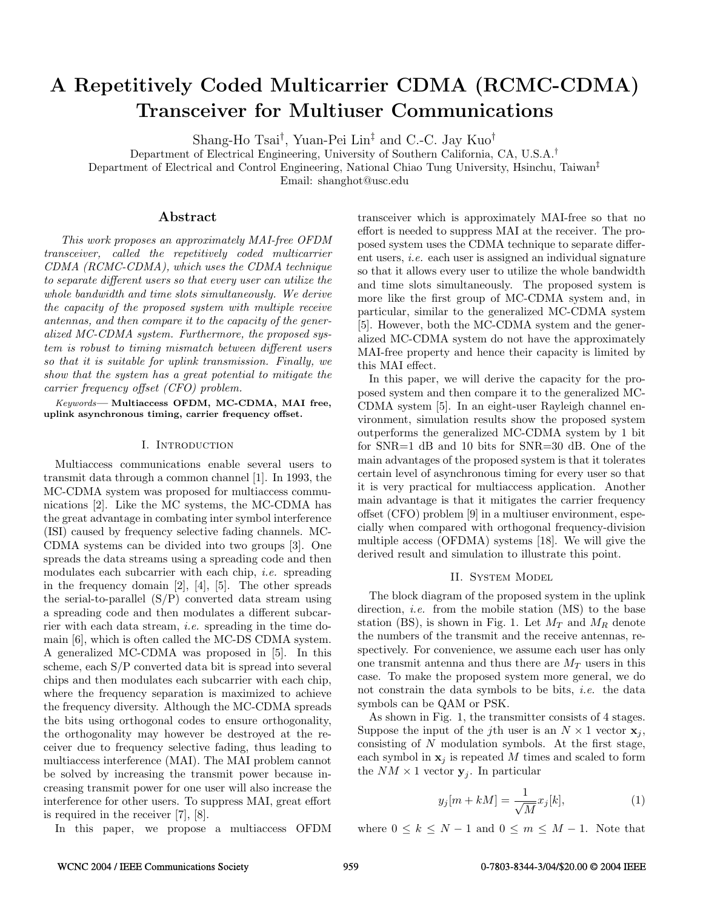# **A Repetitively Coded Multicarrier CDMA (RCMC-CDMA) Transceiver for Multiuser Communications**

Shang-Ho Tsai*†* , Yuan-Pei Lin*‡* and C.-C. Jay Kuo*†*

Department of Electrical Engineering, University of Southern California, CA, U.S.A.†

Department of Electrical and Control Engineering, National Chiao Tung University, Hsinchu, Taiwan‡

Email: shanghot@usc.edu

# **Abstract**

*This work proposes an approximately MAI-free OFDM transceiver, called the repetitively coded multicarrier CDMA (RCMC-CDMA), which uses the CDMA technique to separate different users so that every user can utilize the whole bandwidth and time slots simultaneously. We derive the capacity of the proposed system with multiple receive antennas, and then compare it to the capacity of the generalized MC-CDMA system. Furthermore, the proposed system is robust to timing mismatch between different users so that it is suitable for uplink transmission. Finally, we show that the system has a great potential to mitigate the carrier frequency offset (CFO) problem.*

*Keywords***— Multiaccess OFDM, MC-CDMA, MAI free, uplink asynchronous timing, carrier frequency offset.**

### I. Introduction

Multiaccess communications enable several users to transmit data through a common channel [1]. In 1993, the MC-CDMA system was proposed for multiaccess communications [2]. Like the MC systems, the MC-CDMA has the great advantage in combating inter symbol interference (ISI) caused by frequency selective fading channels. MC-CDMA systems can be divided into two groups [3]. One spreads the data streams using a spreading code and then modulates each subcarrier with each chip, *i.e.* spreading in the frequency domain [2], [4], [5]. The other spreads the serial-to-parallel (S/P) converted data stream using a spreading code and then modulates a different subcarrier with each data stream, *i.e.* spreading in the time domain [6], which is often called the MC-DS CDMA system. A generalized MC-CDMA was proposed in [5]. In this scheme, each S/P converted data bit is spread into several chips and then modulates each subcarrier with each chip, where the frequency separation is maximized to achieve the frequency diversity. Although the MC-CDMA spreads the bits using orthogonal codes to ensure orthogonality, the orthogonality may however be destroyed at the receiver due to frequency selective fading, thus leading to multiaccess interference (MAI). The MAI problem cannot be solved by increasing the transmit power because increasing transmit power for one user will also increase the interference for other users. To suppress MAI, great effort is required in the receiver [7], [8].

In this paper, we propose a multiaccess OFDM

transceiver which is approximately MAI-free so that no effort is needed to suppress MAI at the receiver. The proposed system uses the CDMA technique to separate different users, *i.e.* each user is assigned an individual signature so that it allows every user to utilize the whole bandwidth and time slots simultaneously. The proposed system is more like the first group of MC-CDMA system and, in particular, similar to the generalized MC-CDMA system [5]. However, both the MC-CDMA system and the generalized MC-CDMA system do not have the approximately MAI-free property and hence their capacity is limited by this MAI effect.

In this paper, we will derive the capacity for the proposed system and then compare it to the generalized MC-CDMA system [5]. In an eight-user Rayleigh channel environment, simulation results show the proposed system outperforms the generalized MC-CDMA system by 1 bit for SNR=1 dB and 10 bits for SNR=30 dB. One of the main advantages of the proposed system is that it tolerates certain level of asynchronous timing for every user so that it is very practical for multiaccess application. Another main advantage is that it mitigates the carrier frequency offset (CFO) problem [9] in a multiuser environment, especially when compared with orthogonal frequency-division multiple access (OFDMA) systems [18]. We will give the derived result and simulation to illustrate this point.

#### II. System Model

The block diagram of the proposed system in the uplink direction, *i.e.* from the mobile station (MS) to the base station (BS), is shown in Fig. 1. Let  $M_T$  and  $M_R$  denote the numbers of the transmit and the receive antennas, respectively. For convenience, we assume each user has only one transmit antenna and thus there are  $M_T$  users in this case. To make the proposed system more general, we do not constrain the data symbols to be bits, *i.e.* the data symbols can be QAM or PSK.

As shown in Fig. 1, the transmitter consists of 4 stages. Suppose the input of the j<sup>th</sup> user is an  $N \times 1$  vector  $\mathbf{x}_i$ , consisting of N modulation symbols. At the first stage, each symbol in  $x_j$  is repeated M times and scaled to form the  $NM \times 1$  vector  $y_j$ . In particular

$$
y_j[m + kM] = \frac{1}{\sqrt{M}} x_j[k],\tag{1}
$$

where  $0 \leq k \leq N-1$  and  $0 \leq m \leq M-1$ . Note that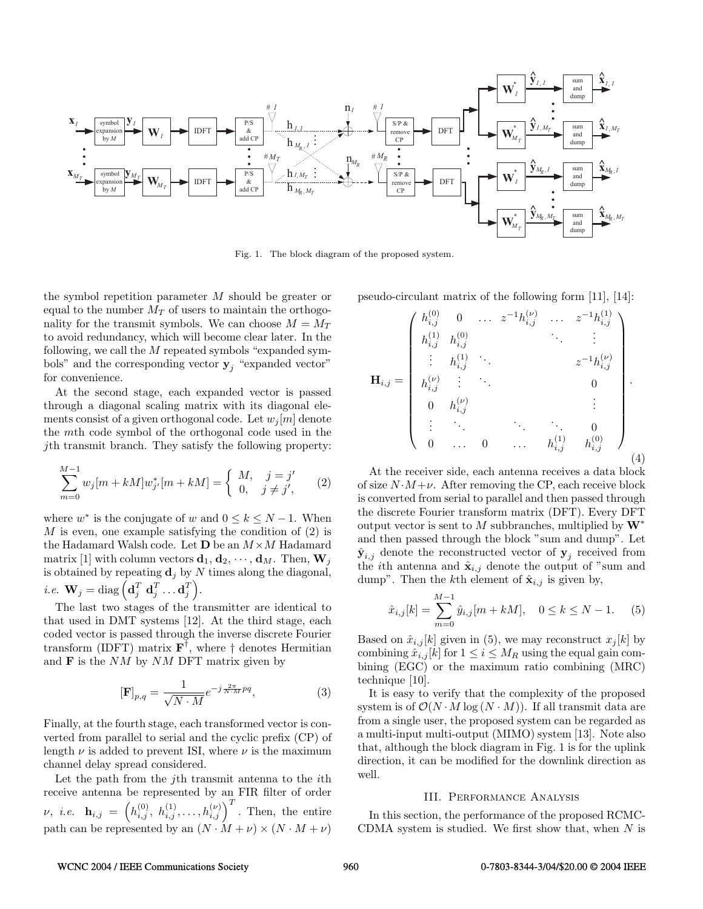

Fig. 1. The block diagram of the proposed system.

the symbol repetition parameter M should be greater or equal to the number  $M_T$  of users to maintain the orthogonality for the transmit symbols. We can choose  $M = M_T$ to avoid redundancy, which will become clear later. In the following, we call the M repeated symbols "expanded symbols" and the corresponding vector  $y_j$  "expanded vector" for convenience.

At the second stage, each expanded vector is passed through a diagonal scaling matrix with its diagonal elements consist of a given orthogonal code. Let  $w_i[m]$  denote the mth code symbol of the orthogonal code used in the jth transmit branch. They satisfy the following property:

$$
\sum_{m=0}^{M-1} w_j[m + kM]w_{j'}^*[m + kM] = \begin{cases} M, & j = j' \\ 0, & j \neq j', \end{cases}
$$
 (2)

where  $w^*$  is the conjugate of w and  $0 \leq k \leq N-1$ . When M is even, one example satisfying the condition of (2) is the Hadamard Walsh code. Let  $\mathbf{D}$  be an  $M \times M$  Hadamard matrix [1] with column vectors  $\mathbf{d}_1, \mathbf{d}_2, \cdots, \mathbf{d}_M$ . Then,  $\mathbf{W}_j$ is obtained by repeating  $\mathbf{d}_j$  by N times along the diagonal,  $i.e. \mathbf{W}_j = \text{diag}\left(\mathbf{d}_j^T \; \mathbf{d}_j^T \ldots \mathbf{d}_j^T\right).$ 

The last two stages of the transmitter are identical to that used in DMT systems [12]. At the third stage, each coded vector is passed through the inverse discrete Fourier transform (IDFT) matrix  $\mathbf{F}^{\dagger}$ , where  $\dagger$  denotes Hermitian and  $\bf{F}$  is the  $NM$  by  $NM$  DFT matrix given by

$$
[\mathbf{F}]_{p,q} = \frac{1}{\sqrt{N \cdot M}} e^{-j\frac{2\pi}{N \cdot M}pq},\tag{3}
$$

Finally, at the fourth stage, each transformed vector is converted from parallel to serial and the cyclic prefix (CP) of length  $\nu$  is added to prevent ISI, where  $\nu$  is the maximum channel delay spread considered.

Let the path from the *j*th transmit antenna to the *i*th receive antenna be represented by an FIR filter of order  $\nu, i.e.$   $\mathbf{h}_{i,j} = \left( h_{i,j}^{(0)}, h_{i,j}^{(1)}, \ldots, h_{i,j}^{(\nu)} \right)^T$ . Then, the entire path can be represented by an  $(N\cdot \overset{\cdot}{M} + \nu) \times (N\cdot M + \nu)$ 

pseudo-circulant matrix of the following form [11], [14]:

$$
\mathbf{H}_{i,j} = \begin{pmatrix} h_{i,j}^{(0)} & 0 & \dots & z^{-1}h_{i,j}^{(\nu)} & \dots & z^{-1}h_{i,j}^{(1)} \\ h_{i,j}^{(1)} & h_{i,j}^{(0)} & & \ddots & \vdots \\ \vdots & h_{i,j}^{(1)} & \ddots & & z^{-1}h_{i,j}^{(\nu)} \\ h_{i,j}^{(\nu)} & \vdots & \ddots & & 0 \\ 0 & h_{i,j}^{(\nu)} & & & \vdots \\ \vdots & \ddots & \ddots & \ddots & 0 \\ 0 & \dots & 0 & \dots & h_{i,j}^{(1)} & h_{i,j}^{(0)} \end{pmatrix}.
$$

At the receiver side, each antenna receives a data block of size  $N \cdot M + \nu$ . After removing the CP, each receive block is converted from serial to parallel and then passed through the discrete Fourier transform matrix (DFT). Every DFT output vector is sent to M subbranches, multiplied by **W**<sup>∗</sup> and then passed through the block "sum and dump". Let  $\hat{\mathbf{y}}_{i,j}$  denote the reconstructed vector of  $\mathbf{y}_i$  received from the *i*th antenna and  $\hat{\mathbf{x}}_{i,j}$  denote the output of "sum and dump". Then the kth element of  $\hat{\mathbf{x}}_{i,j}$  is given by,

$$
\hat{x}_{i,j}[k] = \sum_{m=0}^{M-1} \hat{y}_{i,j}[m+kM], \quad 0 \le k \le N-1.
$$
 (5)

Based on  $\hat{x}_{i,j}[k]$  given in (5), we may reconstruct  $x_i[k]$  by combining  $\hat{x}_{i,j}[k]$  for  $1 \leq i \leq M_R$  using the equal gain combining (EGC) or the maximum ratio combining (MRC) technique [10].

It is easy to verify that the complexity of the proposed system is of  $\mathcal{O}(N \cdot M \log(N \cdot M))$ . If all transmit data are from a single user, the proposed system can be regarded as a multi-input multi-output (MIMO) system [13]. Note also that, although the block diagram in Fig. 1 is for the uplink direction, it can be modified for the downlink direction as well.

# III. Performance Analysis

In this section, the performance of the proposed RCMC-CDMA system is studied. We first show that, when  $N$  is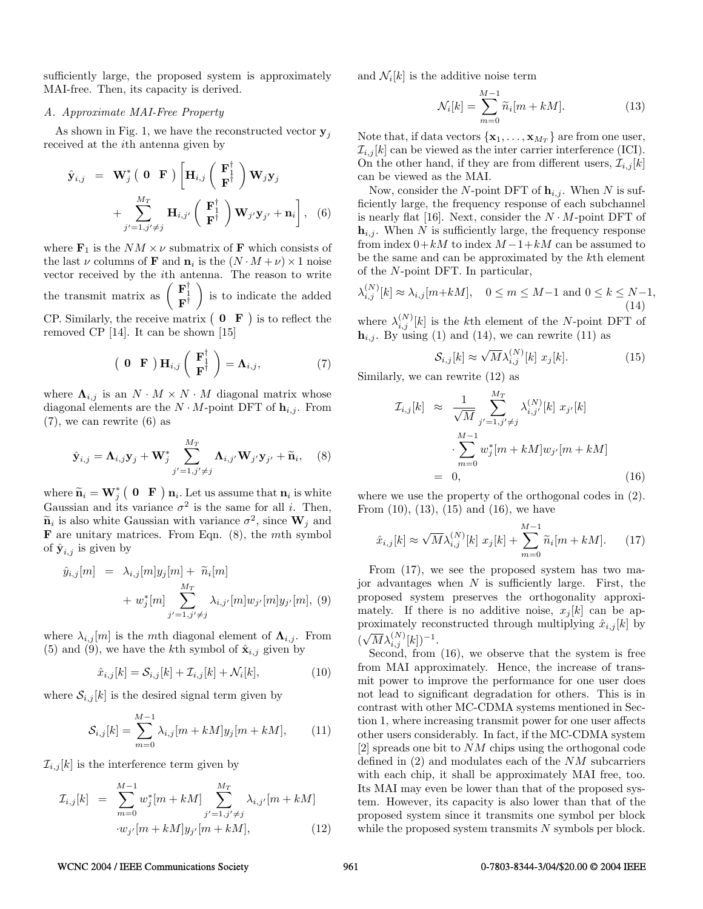sufficiently large, the proposed system is approximately MAI-free. Then, its capacity is derived.

# *A. Approximate MAI-Free Property*

As shown in Fig. 1, we have the reconstructed vector  $y_j$ received at the ith antenna given by

$$
\hat{\mathbf{y}}_{i,j} = \mathbf{W}_{j}^{*} \begin{pmatrix} \mathbf{0} & \mathbf{F} \end{pmatrix} \begin{bmatrix} \mathbf{H}_{i,j} \begin{pmatrix} \mathbf{F}_{1}^{\dagger} \\ \mathbf{F}^{\dagger} \end{pmatrix} \mathbf{W}_{j} \mathbf{y}_{j} + \sum_{j'=1, j' \neq j}^{M_{T}} \mathbf{H}_{i,j'} \begin{pmatrix} \mathbf{F}_{1}^{\dagger} \\ \mathbf{F}^{\dagger} \end{pmatrix} \mathbf{W}_{j'} \mathbf{y}_{j'} + \mathbf{n}_{i} \end{bmatrix}, \quad (6)
$$

where  $\mathbf{F}_1$  is the  $NM \times \nu$  submatrix of **F** which consists of the last  $\nu$  columns of **F** and  $\mathbf{n}_i$  is the  $(N \cdot M + \nu) \times 1$  noise vector received by the ith antenna. The reason to write the transmit matrix as  $\begin{pmatrix} \mathbf{F}_1^{\dagger} \\ \mathbf{F}^{\dagger} \end{pmatrix}$ ) is to indicate the added CP. Similarly, the receive matrix  $(0 \t F)$  is to reflect the

removed CP [14]. It can be shown [15]

$$
\left(\begin{array}{cc} \mathbf{0} & \mathbf{F} \end{array}\right) \mathbf{H}_{i,j} \left(\begin{array}{c} \mathbf{F}_{1}^{\dagger} \\ \mathbf{F}^{\dagger} \end{array}\right) = \mathbf{\Lambda}_{i,j},\tag{7}
$$

where  $\Lambda_{i,j}$  is an  $N \cdot M \times N \cdot M$  diagonal matrix whose diagonal elements are the  $N \cdot M$ -point DFT of  $\mathbf{h}_{i,j}$ . From  $(7)$ , we can rewrite  $(6)$  as

$$
\hat{\mathbf{y}}_{i,j} = \mathbf{\Lambda}_{i,j} \mathbf{y}_j + \mathbf{W}_j^* \sum_{j'=1,j'\neq j}^{M_T} \mathbf{\Lambda}_{i,j'} \mathbf{W}_{j'} \mathbf{y}_{j'} + \widetilde{\mathbf{n}}_i, \quad (8)
$$

where  $\widetilde{\mathbf{n}}_i = \mathbf{W}_j^*$   $(0 \mathbf{F}) \mathbf{n}_i$ . Let us assume that  $\mathbf{n}_i$  is white Gaussian and its variance  $\sigma^2$  is the same for all *i*. Then,  $\widetilde{\mathbf{n}}_i$  is also white Gaussian with variance  $\sigma^2$ , since  $\mathbf{W}_j$  and **F** are unitary matrices. From Eqn. (8), the mth symbol of  $\hat{\mathbf{y}}_{i,j}$  is given by

$$
\hat{y}_{i,j}[m] = \lambda_{i,j}[m]y_j[m] + \widetilde{n}_i[m] \n+ w_j^*[m] \sum_{j'=1,j'\neq j}^{M_T} \lambda_{i,j'}[m]w_{j'}[m]y_{j'}[m], (9)
$$

where  $\lambda_{i,j}[m]$  is the mth diagonal element of  $\Lambda_{i,j}$ . From (5) and (9), we have the kth symbol of  $\hat{\mathbf{x}}_{i,j}$  given by

$$
\hat{x}_{i,j}[k] = \mathcal{S}_{i,j}[k] + \mathcal{I}_{i,j}[k] + \mathcal{N}_i[k],\tag{10}
$$

where  $S_{i,j}[k]$  is the desired signal term given by

$$
S_{i,j}[k] = \sum_{m=0}^{M-1} \lambda_{i,j}[m+kM]y_j[m+kM], \qquad (11)
$$

 $\mathcal{I}_{i,j}[k]$  is the interference term given by

$$
\mathcal{I}_{i,j}[k] = \sum_{m=0}^{M-1} w_j^* [m + kM] \sum_{j'=1, j'\neq j}^{M_T} \lambda_{i,j'} [m + kM] \cdot w_{j'} [m + kM] y_{j'} [m + kM],
$$
\n(12)

and  $\mathcal{N}_i[k]$  is the additive noise term

$$
\mathcal{N}_i[k] = \sum_{m=0}^{M-1} \tilde{n}_i[m+kM]. \tag{13}
$$

Note that, if data vectors  $\{x_1, \ldots, x_{M_T}\}$  are from one user,  $\mathcal{I}_{i,j}[k]$  can be viewed as the inter carrier interference (ICI). On the other hand, if they are from different users,  $\mathcal{I}_{i,j}[k]$ can be viewed as the MAI.

Now, consider the N-point DFT of  $\mathbf{h}_{i,j}$ . When N is sufficiently large, the frequency response of each subchannel is nearly flat [16]. Next, consider the  $N \cdot M$ -point DFT of  $h_{i,j}$ . When N is sufficiently large, the frequency response from index  $0+ kM$  to index  $M-1+kM$  can be assumed to be the same and can be approximated by the kth element of the N-point DFT. In particular,

$$
\lambda_{i,j}^{(N)}[k] \approx \lambda_{i,j}[m+kM], \quad 0 \le m \le M-1 \text{ and } 0 \le k \le N-1,
$$
\n(14)

where  $\lambda_{i,j}^{(N)}[k]$  is the kth element of the N-point DFT of  $\mathbf{h}_{i,j}$ . By using (1) and (14), we can rewrite (11) as

$$
S_{i,j}[k] \approx \sqrt{M} \lambda_{i,j}^{(N)}[k] \ x_j[k]. \tag{15}
$$

Similarly, we can rewrite (12) as

$$
\mathcal{I}_{i,j}[k] \approx \frac{1}{\sqrt{M}} \sum_{j'=1,j'\neq j}^{M_T} \lambda_{i,j'}^{(N)}[k] \; x_{j'}[k] \cdot \sum_{m=0}^{M-1} w_j^* [m+kM] w_{j'}[m+kM] \n= 0,
$$
\n(16)

where we use the property of the orthogonal codes in (2). From (10), (13), (15) and (16), we have

$$
\hat{x}_{i,j}[k] \approx \sqrt{M} \lambda_{i,j}^{(N)}[k] \ x_j[k] + \sum_{m=0}^{M-1} \tilde{n}_i[m+kM]. \tag{17}
$$

From (17), we see the proposed system has two major advantages when  $N$  is sufficiently large. First, the proposed system preserves the orthogonality approximately. If there is no additive noise,  $x_i[k]$  can be approximately reconstructed through multiplying  $\hat{x}_{i,j}[k]$  by (  $\sqrt{M} \lambda_{i,j}^{(N)}[k])^{-1}.$ 

Second, from (16), we observe that the system is free from MAI approximately. Hence, the increase of transmit power to improve the performance for one user does not lead to significant degradation for others. This is in contrast with other MC-CDMA systems mentioned in Section 1, where increasing transmit power for one user affects other users considerably. In fact, if the MC-CDMA system [2] spreads one bit to NM chips using the orthogonal code defined in  $(2)$  and modulates each of the  $NM$  subcarriers with each chip, it shall be approximately MAI free, too. Its MAI may even be lower than that of the proposed system. However, its capacity is also lower than that of the proposed system since it transmits one symbol per block while the proposed system transmits  $N$  symbols per block.

### WCNC 2004 / IEEE Communications Society 0-7803-8344-3/04/\$20.00 \ 2004 IEEE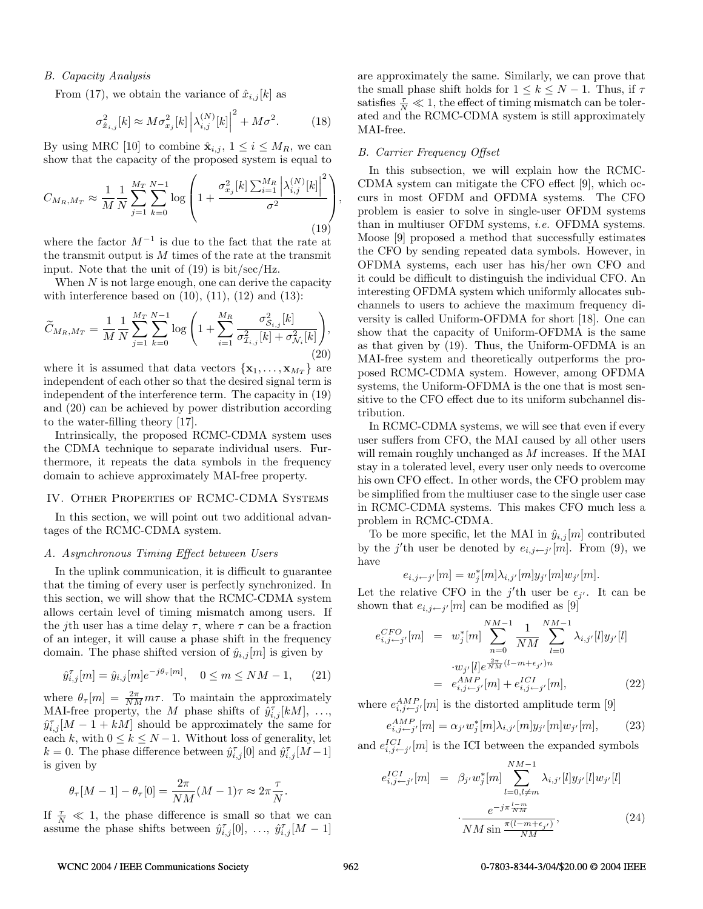# *B. Capacity Analysis*

From (17), we obtain the variance of  $\hat{x}_{i,j}[k]$  as

$$
\sigma_{\hat{x}_{i,j}}^2[k] \approx M \sigma_{x_j}^2[k] \left| \lambda_{i,j}^{(N)}[k] \right|^2 + M \sigma^2.
$$
 (18)

By using MRC [10] to combine  $\hat{\mathbf{x}}_{i,j}, 1 \leq i \leq M_R$ , we can show that the capacity of the proposed system is equal to

$$
C_{M_R,M_T} \approx \frac{1}{M} \frac{1}{N} \sum_{j=1}^{M_T} \sum_{k=0}^{N-1} \log \left( 1 + \frac{\sigma_{x_j}^2[k] \sum_{i=1}^{M_R} \left| \lambda_{i,j}^{(N)}[k] \right|^2}{\sigma^2} \right),\tag{19}
$$

where the factor  $M^{-1}$  is due to the fact that the rate at the transmit output is  $M$  times of the rate at the transmit input. Note that the unit of (19) is bit/sec/Hz.

When  $N$  is not large enough, one can derive the capacity with interference based on  $(10)$ ,  $(11)$ ,  $(12)$  and  $(13)$ :

$$
\widetilde{C}_{M_R,M_T} = \frac{1}{M} \frac{1}{N} \sum_{j=1}^{M_T} \sum_{k=0}^{N-1} \log \left( 1 + \sum_{i=1}^{M_R} \frac{\sigma_{S_{i,j}}^2[k]}{\sigma_{\mathcal{I}_{i,j}}^2[k] + \sigma_{\mathcal{N}_i}^2[k]} \right),\tag{20}
$$

where it is assumed that data vectors  $\{x_1, \ldots, x_{M_T}\}\$  are independent of each other so that the desired signal term is independent of the interference term. The capacity in (19) and (20) can be achieved by power distribution according to the water-filling theory [17].

Intrinsically, the proposed RCMC-CDMA system uses the CDMA technique to separate individual users. Furthermore, it repeats the data symbols in the frequency domain to achieve approximately MAI-free property.

# IV. Other Properties of RCMC-CDMA Systems

In this section, we will point out two additional advantages of the RCMC-CDMA system.

### *A. Asynchronous Timing Effect between Users*

In the uplink communication, it is difficult to guarantee that the timing of every user is perfectly synchronized. In this section, we will show that the RCMC-CDMA system allows certain level of timing mismatch among users. If the jth user has a time delay  $\tau$ , where  $\tau$  can be a fraction of an integer, it will cause a phase shift in the frequency domain. The phase shifted version of  $\hat{y}_{i,j}[m]$  is given by

$$
\hat{y}_{i,j}^{\tau}[m] = \hat{y}_{i,j}[m]e^{-j\theta_{\tau}[m]}, \quad 0 \le m \le NM - 1,\tag{21}
$$

where  $\theta_{\tau}[m] = \frac{2\pi}{NM}m\tau$ . To maintain the approximately MAI-free property, the M phase shifts of  $\hat{y}_{i,j}^{\tau}[kM], \ldots,$  $\hat{y}_{i,j}^{\tau}[M-1+kM]$  should be approximately the same for each k, with  $0 \leq k \leq N-1$ . Without loss of generality, let  $k = 0$ . The phase difference between  $\hat{y}_{i,j}^{\tau}[0]$  and  $\hat{y}_{i,j}^{\tau}[M-1]$ is given by

$$
\theta_{\tau}[M-1] - \theta_{\tau}[0] = \frac{2\pi}{NM}(M-1)\tau \approx 2\pi \frac{\tau}{N}.
$$

If  $\frac{\tau}{N} \ll 1$ , the phase difference is small so that we can assume the phase shifts between  $\hat{y}_{i,j}^{\tau}[0], \ldots, \hat{y}_{i,j}^{\tau}[M-1]$  are approximately the same. Similarly, we can prove that the small phase shift holds for  $1 \leq k \leq N-1$ . Thus, if  $\tau$ satisfies  $\frac{\tau}{N} \ll 1$ , the effect of timing mismatch can be tolerated and the RCMC-CDMA system is still approximately MAI-free.

# *B. Carrier Frequency Offset*

In this subsection, we will explain how the RCMC-CDMA system can mitigate the CFO effect [9], which occurs in most OFDM and OFDMA systems. The CFO problem is easier to solve in single-user OFDM systems than in multiuser OFDM systems, *i.e.* OFDMA systems. Moose [9] proposed a method that successfully estimates the CFO by sending repeated data symbols. However, in OFDMA systems, each user has his/her own CFO and it could be difficult to distinguish the individual CFO. An interesting OFDMA system which uniformly allocates subchannels to users to achieve the maximum frequency diversity is called Uniform-OFDMA for short [18]. One can show that the capacity of Uniform-OFDMA is the same as that given by (19). Thus, the Uniform-OFDMA is an MAI-free system and theoretically outperforms the proposed RCMC-CDMA system. However, among OFDMA systems, the Uniform-OFDMA is the one that is most sensitive to the CFO effect due to its uniform subchannel distribution.

In RCMC-CDMA systems, we will see that even if every user suffers from CFO, the MAI caused by all other users will remain roughly unchanged as M increases. If the MAI stay in a tolerated level, every user only needs to overcome his own CFO effect. In other words, the CFO problem may be simplified from the multiuser case to the single user case in RCMC-CDMA systems. This makes CFO much less a problem in RCMC-CDMA.

To be more specific, let the MAI in  $\hat{y}_{i,j}[m]$  contributed by the j'th user be denoted by  $e_{i,j\leftarrow j'}[m]$ . From (9), we have

$$
e_{i,j \leftarrow j'}[m] = w_j^*[m] \lambda_{i,j'}[m] y_{j'}[m] w_{j'}[m].
$$

Let the relative CFO in the  $j'$ <sup>th</sup> user be  $\epsilon_{j'}$ . It can be shown that  $e_{i,j\leftarrow j'}[m]$  can be modified as [9]

$$
e_{i,j\leftarrow j'}^{CFO}[m] = w_j^*[m] \sum_{n=0}^{NM-1} \frac{1}{NM} \sum_{l=0}^{NM-1} \lambda_{i,j'}[l] y_{j'}[l]
$$

$$
\cdot w_{j'}[l] e^{\frac{2\pi}{NM}(l-m+\epsilon_{j'})n}
$$

$$
= e_{i,j\leftarrow j'}^{AMP}[m] + e_{i,j\leftarrow j'}^{ICI}[m],
$$
(22)

where  $e_{i,j\leftarrow j'}^{AMP}[m]$  is the distorted amplitude term [9]

$$
e_{i,j \leftarrow j'}^{AMP} [m] = \alpha_{j'} w_j^* [m] \lambda_{i,j'} [m] y_{j'} [m] w_{j'} [m], \qquad (23)
$$

and  $e_{i,j\leftarrow j'}^{ICI}[m]$  is the ICI between the expanded symbols

$$
e_{i,j\leftarrow j'}^{ICI}[m] = \beta_{j'} w_j^* [m] \sum_{l=0,l\neq m}^{NM-1} \lambda_{i,j'}[l] y_{j'}[l] w_{j'}[l]
$$

$$
\cdot \frac{e^{-j\pi \frac{l-m}{NM}}}{NM \sin \frac{\pi(l-m+\epsilon_{j'})}{NM}},
$$
(24)

# WCNC 2004 / IEEE Communications Society 962 0-7803-8344-3/04/\$20.00 © 2004 IEEE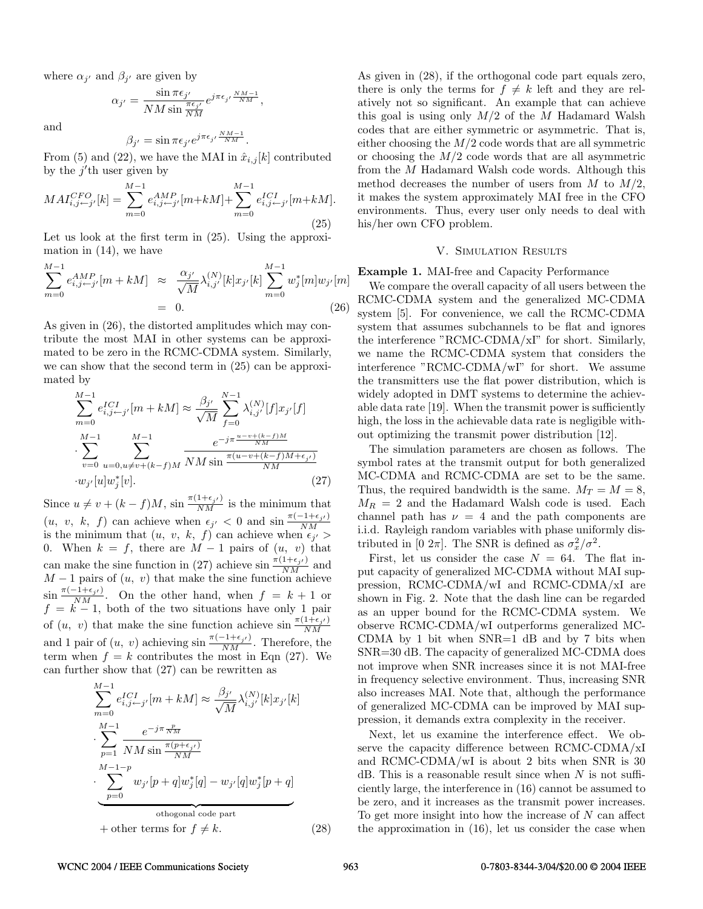where  $\alpha_{i'}$  and  $\beta_{i'}$  are given by

$$
\alpha_{j'} = \frac{\sin \pi \epsilon_{j'}}{NM \sin \frac{\pi \epsilon_{j'}}{NM}} e^{j \pi \epsilon_{j'} \frac{NM-1}{NM}},
$$

and

$$
\beta_{j'} = \sin \pi \epsilon_{j'} e^{j \pi \epsilon_{j'}} \frac{N M - 1}{N M}.
$$

From (5) and (22), we have the MAI in  $\hat{x}_{i,j}[k]$  contributed by the  $j'$ <sup>th</sup> user given by

$$
MAI_{i,j\leftarrow j'}^{CFO}(k) = \sum_{m=0}^{M-1} e_{i,j\leftarrow j'}^{AMP}[m+kM] + \sum_{m=0}^{M-1} e_{i,j\leftarrow j'}^{ICI}[m+kM].
$$
\n(25)

Let us look at the first term in (25). Using the approximation in  $(14)$ , we have

$$
\sum_{m=0}^{M-1} e_{i,j \leftarrow j'}^{AMP}[m+kM] \approx \frac{\alpha_{j'}}{\sqrt{M}} \lambda_{i,j'}^{(N)}[k] x_{j'}[k] \sum_{m=0}^{M-1} w_j^*[m] w_{j'}[m] = 0.
$$
 (26)

As given in (26), the distorted amplitudes which may contribute the most MAI in other systems can be approximated to be zero in the RCMC-CDMA system. Similarly, we can show that the second term in (25) can be approximated by

$$
\sum_{m=0}^{M-1} e_{i,j \leftarrow j'}^{ICI}[m + kM] \approx \frac{\beta_{j'}}{\sqrt{M}} \sum_{f=0}^{N-1} \lambda_{i,j'}^{(N)}[f] x_{j'}[f]
$$
  

$$
\cdot \sum_{v=0}^{M-1} \sum_{u=0, u \neq v+(k-f)M}^{M-1} \frac{e^{-j\pi \frac{u-v+(k-f)M}{NM}}}{NM \sin \frac{\pi (u-v+(k-f)M+\epsilon_{j'})}{NM}}
$$
  

$$
\cdot w_{j'}[u] w_j^*[v].
$$
 (27)

Since  $u \neq v + (k - f)M$ ,  $\sin \frac{\pi (1 + \epsilon_{j'})}{NM}$  is the minimum that  $(u, v, k, f)$  can achieve when  $\epsilon_{j'} < 0$  and  $\sin \frac{\pi(-1+\epsilon_{j'})}{NM}$ is the minimum that  $(u, v, k, f)$  can achieve when  $\epsilon_{j'}$ 0. When  $k = f$ , there are  $M - 1$  pairs of  $(u, v)$  that can make the sine function in (27) achieve  $\sin \frac{\pi (1+\epsilon_j)}{NM}$  and  $M-1$  pairs of  $(u, v)$  that make the sine function achieve  $\sin \frac{\pi(-1+\epsilon_{j'})}{NM}$ . On the other hand, when  $f = k + 1$  or  $f = k - 1$ , both of the two situations have only 1 pair of  $(u, v)$  that make the sine function achieve sin  $\frac{\pi(1+\epsilon_j)}{NM}$ and 1 pair of  $(u, v)$  achieving  $\sin \frac{\pi(-1+\epsilon_{j'})}{NM}$ . Therefore, the term when  $f = k$  contributes the most in Eqn (27). We can further show that (27) can be rewritten as

$$
\sum_{m=0}^{M-1} e_{i,j \leftarrow j'}^{ICI}[m + kM] \approx \frac{\beta_{j'}}{\sqrt{M}} \lambda_{i,j'}^{(N)}[k] x_{j'}[k]
$$
  
\n
$$
\cdot \sum_{p=1}^{M-1} \frac{e^{-j\pi \frac{p}{NM}}}{NM \sin \frac{\pi (p + \epsilon_{j'})}{NM}}
$$
  
\n
$$
\cdot \sum_{p=0}^{M-1-p} w_{j'}[p + q] w_{j}^{*}[q] - w_{j'}[q] w_{j}^{*}[p + q]
$$
  
\n
$$
\xrightarrow{\text{thogonal code part}}
$$
  
\n+ other terms for  $f \neq k$ . (28)

As given in (28), if the orthogonal code part equals zero, there is only the terms for  $f \neq k$  left and they are relatively not so significant. An example that can achieve this goal is using only  $M/2$  of the M Hadamard Walsh codes that are either symmetric or asymmetric. That is, either choosing the  $M/2$  code words that are all symmetric or choosing the  $M/2$  code words that are all asymmetric from the M Hadamard Walsh code words. Although this method decreases the number of users from  $M$  to  $M/2$ , it makes the system approximately MAI free in the CFO environments. Thus, every user only needs to deal with his/her own CFO problem.

# V. Simulation Results

**Example 1.** MAI-free and Capacity Performance

We compare the overall capacity of all users between the RCMC-CDMA system and the generalized MC-CDMA system [5]. For convenience, we call the RCMC-CDMA system that assumes subchannels to be flat and ignores the interference "RCMC-CDMA/xI" for short. Similarly, we name the RCMC-CDMA system that considers the interference "RCMC-CDMA/wI" for short. We assume the transmitters use the flat power distribution, which is widely adopted in DMT systems to determine the achievable data rate [19]. When the transmit power is sufficiently high, the loss in the achievable data rate is negligible without optimizing the transmit power distribution [12].

The simulation parameters are chosen as follows. The symbol rates at the transmit output for both generalized MC-CDMA and RCMC-CDMA are set to be the same. Thus, the required bandwidth is the same.  $M_T = M = 8$ ,  $M_R = 2$  and the Hadamard Walsh code is used. Each channel path has  $\nu = 4$  and the path components are i.i.d. Rayleigh random variables with phase uniformly distributed in [0  $2\pi$ ]. The SNR is defined as  $\sigma_x^2/\sigma^2$ .

First, let us consider the case  $N = 64$ . The flat input capacity of generalized MC-CDMA without MAI suppression, RCMC-CDMA/wI and RCMC-CDMA/xI are shown in Fig. 2. Note that the dash line can be regarded as an upper bound for the RCMC-CDMA system. We observe RCMC-CDMA/wI outperforms generalized MC-CDMA by 1 bit when SNR=1 dB and by 7 bits when SNR=30 dB. The capacity of generalized MC-CDMA does not improve when SNR increases since it is not MAI-free in frequency selective environment. Thus, increasing SNR also increases MAI. Note that, although the performance of generalized MC-CDMA can be improved by MAI suppression, it demands extra complexity in the receiver.

Next, let us examine the interference effect. We observe the capacity difference between RCMC-CDMA/xI and RCMC-CDMA/wI is about 2 bits when SNR is 30  $dB$ . This is a reasonable result since when N is not sufficiently large, the interference in (16) cannot be assumed to be zero, and it increases as the transmit power increases. To get more insight into how the increase of  $N$  can affect the approximation in (16), let us consider the case when